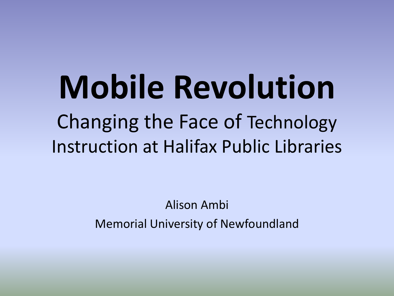# **Mobile Revolution** Changing the Face of Technology Instruction at Halifax Public Libraries

Alison Ambi Memorial University of Newfoundland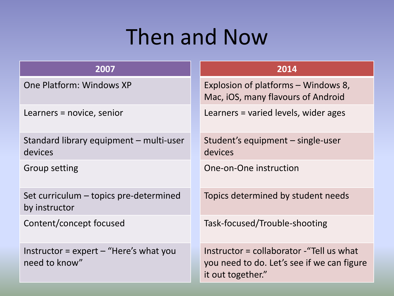### Then and Now

| 2007                                                                   | 2014                                                                                                         |
|------------------------------------------------------------------------|--------------------------------------------------------------------------------------------------------------|
| One Platform: Windows XP                                               | Explosion of platforms – Windows 8,<br>Mac, iOS, many flavours of Android                                    |
| Learners = novice, senior                                              | Learners = varied levels, wider ages                                                                         |
| Standard library equipment – multi-user<br>devices                     | Student's equipment – single-user<br>devices                                                                 |
| <b>Group setting</b>                                                   | One-on-One instruction                                                                                       |
| Set curriculum – topics pre-determined<br>by instructor                | Topics determined by student needs                                                                           |
| Content/concept focused                                                | Task-focused/Trouble-shooting                                                                                |
| Instructor = $\exp(\theta - \theta')$ Here's what you<br>need to know" | Instructor = collaborator - "Tell us what<br>you need to do. Let's see if we can figure<br>it out together." |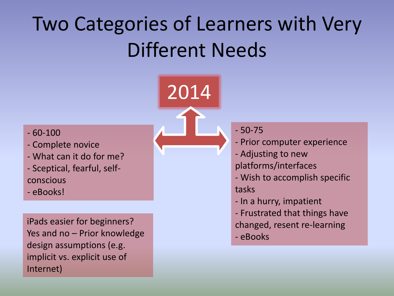# Two Categories of Learners with Very Different Needs

2014



- Complete novice
- What can it do for me?
- Sceptical, fearful, selfconscious
- eBooks!

iPads easier for beginners? Yes and no – Prior knowledge design assumptions (e.g. implicit vs. explicit use of Internet)



- Prior computer experience
- Adjusting to new platforms/interfaces
- Wish to accomplish specific tasks
- In a hurry, impatient
- Frustrated that things have changed, resent re-learning
- eBooks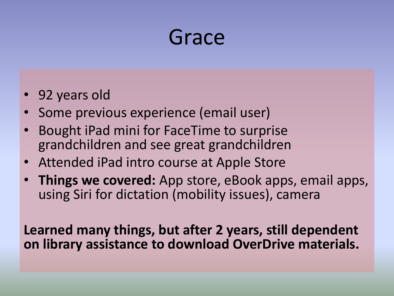

- 92 years old
- Some previous experience (email user)
- Bought iPad mini for FaceTime to surprise grandchildren and see great grandchildren
- Attended iPad intro course at Apple Store
- **Things we covered:** App store, eBook apps, email apps, using Siri for dictation (mobility issues), camera

**Learned many things, but after 2 years, still dependent on library assistance to download OverDrive materials.**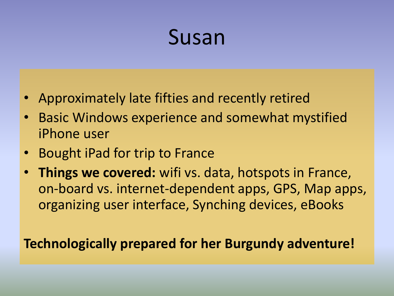#### Susan

- Approximately late fifties and recently retired
- Basic Windows experience and somewhat mystified iPhone user
- **Bought iPad for trip to France**
- **Things we covered:** wifi vs. data, hotspots in France, on-board vs. internet-dependent apps, GPS, Map apps, organizing user interface, Synching devices, eBooks

#### **Technologically prepared for her Burgundy adventure!**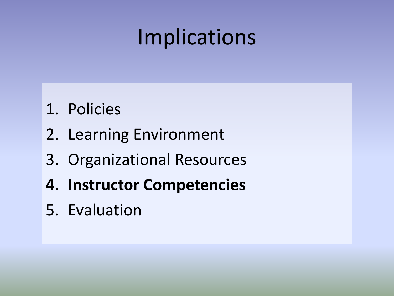# Implications

- 1. Policies
- 2. Learning Environment
- 3. Organizational Resources
- **4. Instructor Competencies**
- 5. Evaluation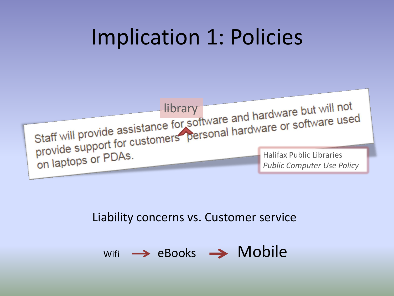## Implication 1: Policies



#### Liability concerns vs. Customer service

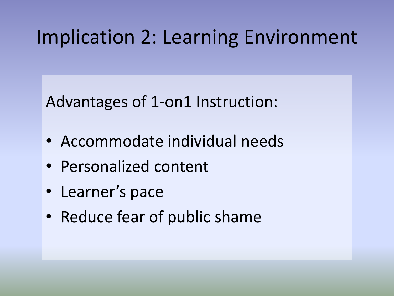#### Implication 2: Learning Environment

Advantages of 1-on1 Instruction:

- Accommodate individual needs
- Personalized content
- Learner's pace
- Reduce fear of public shame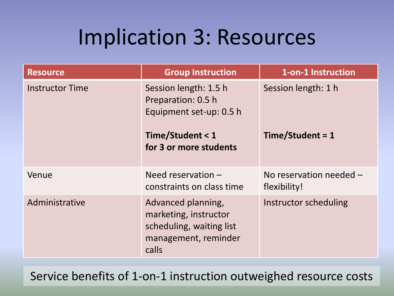### Implication 3: Resources

| <b>Resource</b>                                                                                  | <b>Group Instruction</b>                                                                                 | 1-on-1 Instruction                        |
|--------------------------------------------------------------------------------------------------|----------------------------------------------------------------------------------------------------------|-------------------------------------------|
| <b>Instructor Time</b><br>Session length: 1.5 h<br>Preparation: 0.5 h<br>Equipment set-up: 0.5 h |                                                                                                          | Session length: 1 h                       |
|                                                                                                  | Time/Student < 1<br>for 3 or more students                                                               | Time/Student = 1                          |
| Venue                                                                                            | Need reservation $-$<br>constraints on class time                                                        | No reservation needed $-$<br>flexibility! |
| Administrative                                                                                   | Advanced planning,<br>marketing, instructor<br>scheduling, waiting list<br>management, reminder<br>calls | Instructor scheduling                     |

Service benefits of 1-on-1 instruction outweighed resource costs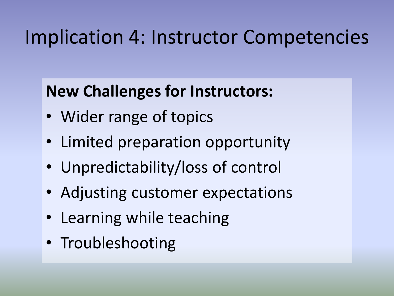#### Implication 4: Instructor Competencies

#### **New Challenges for Instructors:**

- Wider range of topics
- Limited preparation opportunity
- Unpredictability/loss of control
- Adjusting customer expectations
- Learning while teaching
- Troubleshooting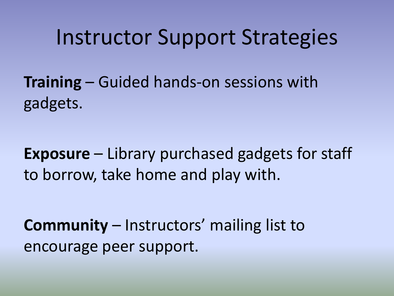#### Instructor Support Strategies

**Training** – Guided hands-on sessions with gadgets.

**Exposure** – Library purchased gadgets for staff to borrow, take home and play with.

**Community** – Instructors' mailing list to encourage peer support.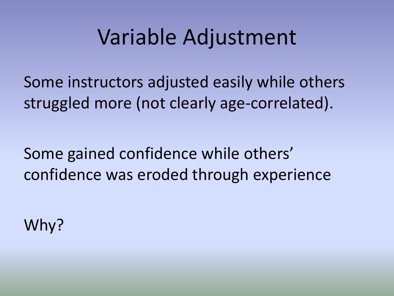### Variable Adjustment

Some instructors adjusted easily while others struggled more (not clearly age-correlated).

Some gained confidence while others' confidence was eroded through experience

Why?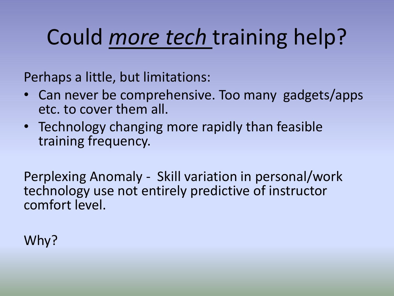# Could *more tech* training help?

Perhaps a little, but limitations:

- Can never be comprehensive. Too many gadgets/apps etc. to cover them all.
- Technology changing more rapidly than feasible training frequency.

Perplexing Anomaly - Skill variation in personal/work technology use not entirely predictive of instructor comfort level.

Why?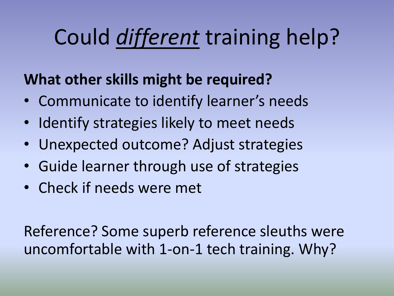# Could *different* training help?

#### **What other skills might be required?**

- Communicate to identify learner's needs
- Identify strategies likely to meet needs
- Unexpected outcome? Adjust strategies
- Guide learner through use of strategies
- Check if needs were met

Reference? Some superb reference sleuths were uncomfortable with 1-on-1 tech training. Why?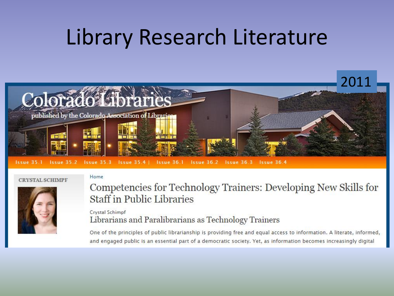### Library Research Literature



#### **CRYSTAL SCHIMPF**

Home



#### Competencies for Technology Trainers: Developing New Skills for **Staff in Public Libraries**

#### Crystal Schimpf Librarians and Paralibrarians as Technology Trainers

One of the principles of public librarianship is providing free and equal access to information. A literate, informed, and engaged public is an essential part of a democratic society. Yet, as information becomes increasingly digital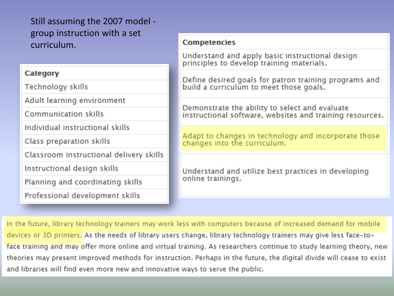Still assuming the 2007 model group instruction with a set curriculum.

#### **Category**

**Technology skills** 

Adult learning environment

Communication skills

Individual instructional skills

Class preparation skills

Classroom instructional delivery skills

Instructional design skills

Planning and coordinating skills

Professional development skills

#### **Competencies**

Understand and apply basic instructional design principles to develop training materials.

Define desired goals for patron training programs and build a curriculum to meet those goals.

Demonstrate the ability to select and evaluate instructional software, websites and training resources.

Adapt to changes in technology and incorporate those changes into the curriculum.

Understand and utilize best practices in developing online trainings.

In the future, library technology trainers may work less with computers because of increased demand for mobile devices or 3D printers. As the needs of library users change, library technology trainers may give less face-toface training and may offer more online and virtual training. As researchers continue to study learning theory, new theories may present improved methods for instruction. Perhaps in the future, the digital divide will cease to exist and libraries will find even more new and innovative ways to serve the public.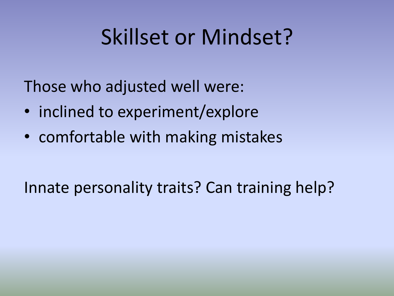## Skillset or Mindset?

Those who adjusted well were:

- inclined to experiment/explore
- comfortable with making mistakes

Innate personality traits? Can training help?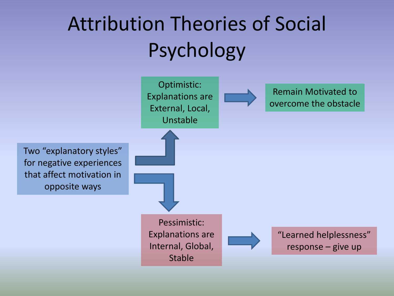## Attribution Theories of Social Psychology

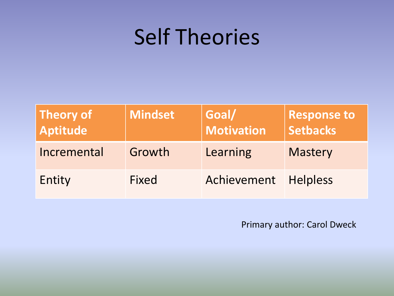## Self Theories

| <b>Theory of</b><br><b>Aptitude</b> | Mindset      | Goal/<br>Motivation  | <b>Response to</b><br><b>Setbacks</b> |
|-------------------------------------|--------------|----------------------|---------------------------------------|
| Incremental                         | Growth       | Learning             | <b>Mastery</b>                        |
| Entity                              | <b>Fixed</b> | Achievement Helpless |                                       |

Primary author: Carol Dweck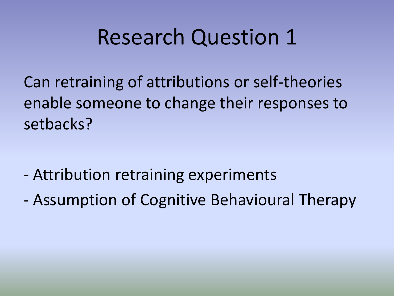#### Research Question 1

Can retraining of attributions or self-theories enable someone to change their responses to setbacks?

- Attribution retraining experiments
- Assumption of Cognitive Behavioural Therapy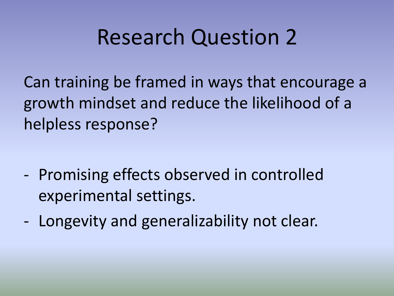### Research Question 2

Can training be framed in ways that encourage a growth mindset and reduce the likelihood of a helpless response?

- Promising effects observed in controlled experimental settings.
- Longevity and generalizability not clear.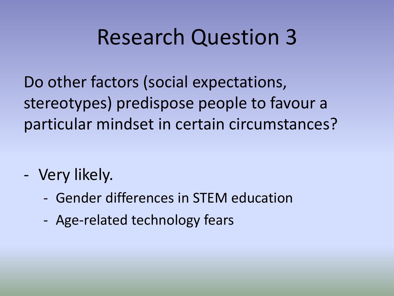### Research Question 3

Do other factors (social expectations, stereotypes) predispose people to favour a particular mindset in certain circumstances?

- Very likely.
	- Gender differences in STEM education
	- Age-related technology fears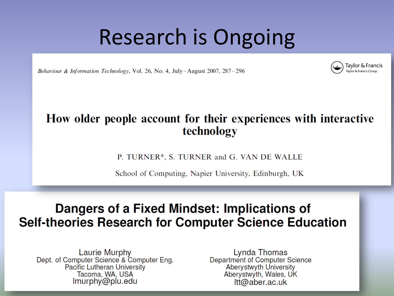### Research is Ongoing

Behaviour & Information Technology, Vol. 26, No. 4, July-August 2007, 287-296

#### How older people account for their experiences with interactive technology

P. TURNER\*, S. TURNER and G. VAN DE WALLE

School of Computing, Napier University, Edinburgh, UK

#### Dangers of a Fixed Mindset: Implications of **Self-theories Research for Computer Science Education**

Laurie Murphy Dept. of Computer Science & Computer Eng. **Pacific Lutheran University** Tacoma, WA, USA Imurphy@plu.edu

Lynda Thomas Department of Computer Science **Aberystwyth University** Aberystwyth, Wales, UK  $Itt@aber.ac.uk$ 

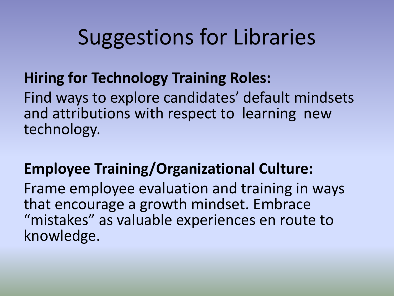## Suggestions for Libraries

#### **Hiring for Technology Training Roles:**

Find ways to explore candidates' default mindsets and attributions with respect to learning new technology.

#### **Employee Training/Organizational Culture:**

Frame employee evaluation and training in ways that encourage a growth mindset. Embrace "mistakes" as valuable experiences en route to knowledge.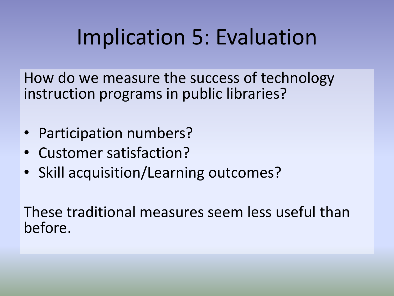## Implication 5: Evaluation

How do we measure the success of technology instruction programs in public libraries?

- Participation numbers?
- Customer satisfaction?
- Skill acquisition/Learning outcomes?

These traditional measures seem less useful than before.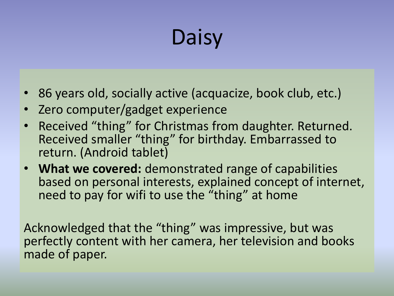# **Daisy**

- 86 years old, socially active (acquacize, book club, etc.)
- Zero computer/gadget experience
- Received "thing" for Christmas from daughter. Returned. Received smaller "thing" for birthday. Embarrassed to return. (Android tablet)
- **What we covered:** demonstrated range of capabilities based on personal interests, explained concept of internet, need to pay for wifi to use the "thing" at home

Acknowledged that the "thing" was impressive, but was perfectly content with her camera, her television and books made of paper.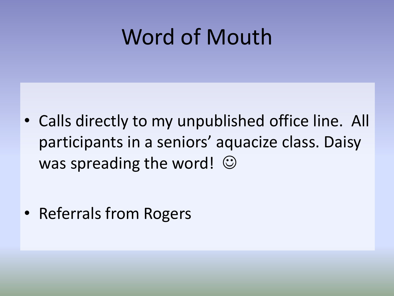## Word of Mouth

• Calls directly to my unpublished office line. All participants in a seniors' aquacize class. Daisy was spreading the word!  $\odot$ 

• Referrals from Rogers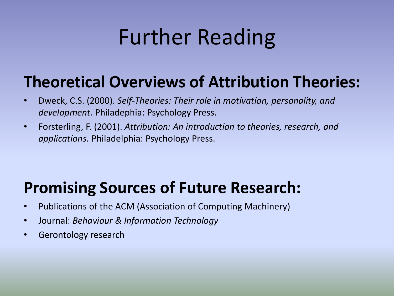## Further Reading

#### **Theoretical Overviews of Attribution Theories:**

- Dweck, C.S. (2000). *Self-Theories: Their role in motivation, personality, and development.* Philadephia: Psychology Press.
- Forsterling, F. (2001). *Attribution: An introduction to theories, research, and applications.* Philadelphia: Psychology Press.

#### **Promising Sources of Future Research:**

- Publications of the ACM (Association of Computing Machinery)
- Journal: *Behaviour & Information Technology*
- Gerontology research